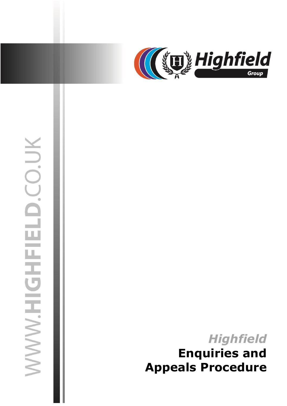

# WWW.HIGHFIELD.CO.UK

02 July 2019 jasonsprenger

# *Highfield* **Enquiries and Appeals Procedure**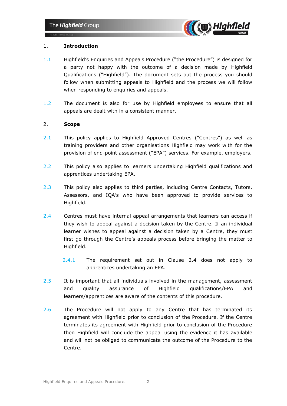

### 1. **Introduction**

- 1.1 Highfield's Enquiries and Appeals Procedure ("the Procedure") is designed for a party not happy with the outcome of a decision made by Highfield Qualifications ("Highfield"). The document sets out the process you should follow when submitting appeals to Highfield and the process we will follow when responding to enquiries and appeals.
- 1.2 The document is also for use by Highfield employees to ensure that all appeals are dealt with in a consistent manner.

### 2. **Scope**

- 2.1 This policy applies to Highfield Approved Centres ("Centres") as well as training providers and other organisations Highfield may work with for the provision of end-point assessment ("EPA") services. For example, employers.
- 2.2 This policy also applies to learners undertaking Highfield qualifications and apprentices undertaking EPA.
- 2.3 This policy also applies to third parties, including Centre Contacts, Tutors, Assessors, and IQA's who have been approved to provide services to Highfield.
- 2.4 Centres must have internal appeal arrangements that learners can access if they wish to appeal against a decision taken by the Centre. If an individual learner wishes to appeal against a decision taken by a Centre, they must first go through the Centre's appeals process before bringing the matter to Highfield.
	- 2.4.1 The requirement set out in Clause 2.4 does not apply to apprentices undertaking an EPA.
- 2.5 It is important that all individuals involved in the management, assessment and quality assurance of Highfield qualifications/EPA and learners/apprentices are aware of the contents of this procedure.
- 2.6 The Procedure will not apply to any Centre that has terminated its agreement with Highfield prior to conclusion of the Procedure. If the Centre terminates its agreement with Highfield prior to conclusion of the Procedure then Highfield will conclude the appeal using the evidence it has available and will not be obliged to communicate the outcome of the Procedure to the Centre.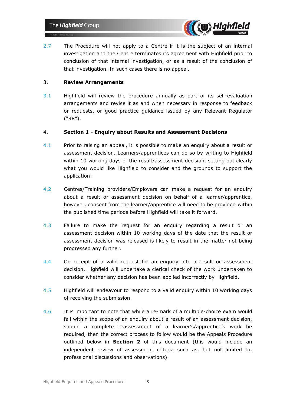

2.7 The Procedure will not apply to a Centre if it is the subject of an internal investigation and the Centre terminates its agreement with Highfield prior to conclusion of that internal investigation, or as a result of the conclusion of that investigation. In such cases there is no appeal.

### 3. **Review Arrangements**

3.1 Highfield will review the procedure annually as part of its self-evaluation arrangements and revise it as and when necessary in response to feedback or requests, or good practice guidance issued by any Relevant Regulator ("RR").

### 4. **Section 1 - Enquiry about Results and Assessment Decisions**

- 4.1 Prior to raising an appeal, it is possible to make an enquiry about a result or assessment decision. Learners/apprentices can do so by writing to Highfield within 10 working days of the result/assessment decision, setting out clearly what you would like Highfield to consider and the grounds to support the application.
- 4.2 Centres/Training providers/Employers can make a request for an enquiry about a result or assessment decision on behalf of a learner/apprentice, however, consent from the learner/apprentice will need to be provided within the published time periods before Highfield will take it forward.
- 4.3 Failure to make the request for an enquiry regarding a result or an assessment decision within 10 working days of the date that the result or assessment decision was released is likely to result in the matter not being progressed any further.
- 4.4 On receipt of a valid request for an enquiry into a result or assessment decision, Highfield will undertake a clerical check of the work undertaken to consider whether any decision has been applied incorrectly by Highfield.
- 4.5 Highfield will endeavour to respond to a valid enquiry within 10 working days of receiving the submission.
- 4.6 It is important to note that while a re-mark of a multiple-choice exam would fall within the scope of an enquiry about a result of an assessment decision, should a complete reassessment of a learner's/apprentice's work be required, then the correct process to follow would be the Appeals Procedure outlined below in **Section 2** of this document (this would include an independent review of assessment criteria such as, but not limited to, professional discussions and observations).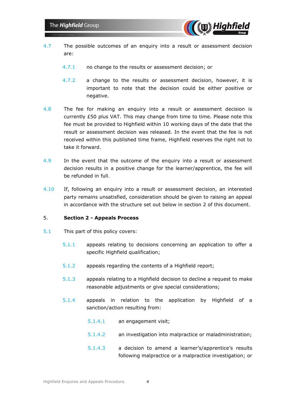

- 4.7 The possible outcomes of an enquiry into a result or assessment decision are:
	- 4.7.1 no change to the results or assessment decision; or
	- 4.7.2 a change to the results or assessment decision, however, it is important to note that the decision could be either positive or negative.
- 4.8 The fee for making an enquiry into a result or assessment decision is currently £50 plus VAT. This may change from time to time. Please note this fee must be provided to Highfield within 10 working days of the date that the result or assessment decision was released. In the event that the fee is not received within this published time frame, Highfield reserves the right not to take it forward.
- 4.9 In the event that the outcome of the enquiry into a result or assessment decision results in a positive change for the learner/apprentice, the fee will be refunded in full.
- 4.10 If, following an enquiry into a result or assessment decision, an interested party remains unsatisfied, consideration should be given to raising an appeal in accordance with the structure set out below in section 2 of this document.

### 5. **Section 2 - Appeals Process**

- 5.1 This part of this policy covers:
	- 5.1.1 appeals relating to decisions concerning an application to offer a specific Highfield qualification;
	- 5.1.2 appeals regarding the contents of a Highfield report;
	- 5.1.3 appeals relating to a Highfield decision to decline a request to make reasonable adjustments or give special considerations;
	- 5.1.4 appeals in relation to the application by Highfield of a sanction/action resulting from:
		- 5.1.4.1 an engagement visit;
		- 5.1.4.2 an investigation into malpractice or maladministration;
		- 5.1.4.3 a decision to amend a learner's/apprentice's results following malpractice or a malpractice investigation; or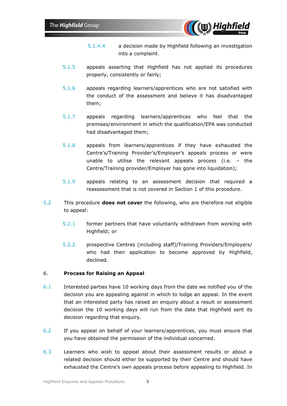

- 5.1.4.4 a decision made by Highfield following an investigation into a complaint.
- 5.1.5 appeals asserting that Highfield has not applied its procedures properly, consistently or fairly;
- 5.1.6 appeals regarding learners/apprentices who are not satisfied with the conduct of the assessment and believe it has disadvantaged them;
- 5.1.7 appeals regarding learners/apprentices who feel that the premises/environment in which the qualification/EPA was conducted had disadvantaged them;
- 5.1.8 appeals from learners/apprentices if they have exhausted the Centre's/Training Provider's/Employer's appeals process or were unable to utilise the relevant appeals process (i.e. – the Centre/Training provider/Employer has gone into liquidation);
- 5.1.9 appeals relating to an assessment decision that required a reassessment that is not covered in Section 1 of this procedure.
- 5.2 This procedure **does not cover** the following, who are therefore not eligible to appeal:
	- 5.2.1 former partners that have voluntarily withdrawn from working with Highfield; or
	- 5.2.2 prospective Centres (including staff)/Training Providers/Employers/ who had their application to become approved by Highfield, declined.

### 6. **Process for Raising an Appeal**

- 6.1 Interested parties have 10 working days from the date we notified you of the decision you are appealing against in which to lodge an appeal. In the event that an interested party has raised an enquiry about a result or assessment decision the 10 working days will run from the date that Highfield sent its decision regarding that enquiry.
- 6.2 If you appeal on behalf of your learners/apprentices, you must ensure that you have obtained the permission of the individual concerned.
- 6.3 Learners who wish to appeal about their assessment results or about a related decision should either be supported by their Centre and should have exhausted the Centre's own appeals process before appealing to Highfield. In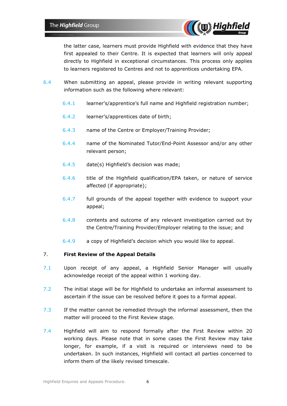

the latter case, learners must provide Highfield with evidence that they have first appealed to their Centre. It is expected that learners will only appeal directly to Highfield in exceptional circumstances. This process only applies to learners registered to Centres and not to apprentices undertaking EPA.

- 6.4 When submitting an appeal, please provide in writing relevant supporting information such as the following where relevant:
	- 6.4.1 learner's/apprentice's full name and Highfield registration number;
	- 6.4.2 learner's/apprentices date of birth;
	- 6.4.3 name of the Centre or Employer/Training Provider;
	- 6.4.4 name of the Nominated Tutor/End-Point Assessor and/or any other relevant person;
	- 6.4.5 date(s) Highfield's decision was made;
	- 6.4.6 title of the Highfield qualification/EPA taken, or nature of service affected (if appropriate);
	- 6.4.7 full grounds of the appeal together with evidence to support your appeal;
	- 6.4.8 contents and outcome of any relevant investigation carried out by the Centre/Training Provider/Employer relating to the issue; and
	- 6.4.9 a copy of Highfield's decision which you would like to appeal.

### 7. **First Review of the Appeal Details**

- 7.1 Upon receipt of any appeal, a Highfield Senior Manager will usually acknowledge receipt of the appeal within 1 working day.
- 7.2 The initial stage will be for Highfield to undertake an informal assessment to ascertain if the issue can be resolved before it goes to a formal appeal.
- 7.3 If the matter cannot be remedied through the informal assessment, then the matter will proceed to the First Review stage.
- 7.4 Highfield will aim to respond formally after the First Review within 20 working days. Please note that in some cases the First Review may take longer, for example, if a visit is required or interviews need to be undertaken. In such instances, Highfield will contact all parties concerned to inform them of the likely revised timescale.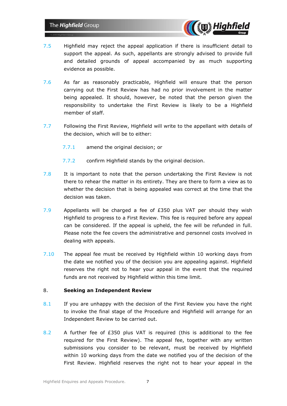

- 7.5 Highfield may reject the appeal application if there is insufficient detail to support the appeal. As such, appellants are strongly advised to provide full and detailed grounds of appeal accompanied by as much supporting evidence as possible.
- 7.6 As far as reasonably practicable, Highfield will ensure that the person carrying out the First Review has had no prior involvement in the matter being appealed. It should, however, be noted that the person given the responsibility to undertake the First Review is likely to be a Highfield member of staff.
- 7.7 Following the First Review, Highfield will write to the appellant with details of the decision, which will be to either:
	- 7.7.1 amend the original decision; or
	- 7.7.2 confirm Highfield stands by the original decision.
- 7.8 It is important to note that the person undertaking the First Review is not there to rehear the matter in its entirety. They are there to form a view as to whether the decision that is being appealed was correct at the time that the decision was taken.
- 7.9 Appellants will be charged a fee of £350 plus VAT per should they wish Highfield to progress to a First Review. This fee is required before any appeal can be considered. If the appeal is upheld, the fee will be refunded in full. Please note the fee covers the administrative and personnel costs involved in dealing with appeals.
- 7.10 The appeal fee must be received by Highfield within 10 working days from the date we notified you of the decision you are appealing against. Highfield reserves the right not to hear your appeal in the event that the required funds are not received by Highfield within this time limit.

### 8. **Seeking an Independent Review**

- 8.1 If you are unhappy with the decision of the First Review you have the right to invoke the final stage of the Procedure and Highfield will arrange for an Independent Review to be carried out.
- 8.2 A further fee of £350 plus VAT is required (this is additional to the fee required for the First Review). The appeal fee, together with any written submissions you consider to be relevant, must be received by Highfield within 10 working days from the date we notified you of the decision of the First Review. Highfield reserves the right not to hear your appeal in the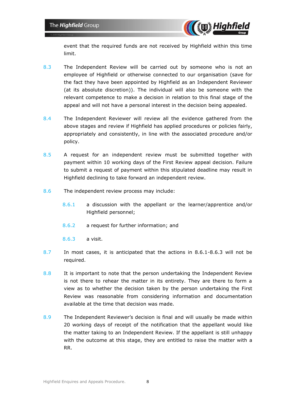

event that the required funds are not received by Highfield within this time limit.

- 8.3 The Independent Review will be carried out by someone who is not an employee of Highfield or otherwise connected to our organisation (save for the fact they have been appointed by Highfield as an Independent Reviewer (at its absolute discretion)). The individual will also be someone with the relevant competence to make a decision in relation to this final stage of the appeal and will not have a personal interest in the decision being appealed.
- 8.4 The Independent Reviewer will review all the evidence gathered from the above stages and review if Highfield has applied procedures or policies fairly, appropriately and consistently, in line with the associated procedure and/or policy.
- 8.5 A request for an independent review must be submitted together with payment within 10 working days of the First Review appeal decision. Failure to submit a request of payment within this stipulated deadline may result in Highfield declining to take forward an independent review.
- 8.6 The independent review process may include:
	- 8.6.1 a discussion with the appellant or the learner/apprentice and/or Highfield personnel;
	- 8.6.2 a request for further information; and
	- 8.6.3 a visit.
- 8.7 In most cases, it is anticipated that the actions in 8.6.1-8.6.3 will not be required.
- 8.8 It is important to note that the person undertaking the Independent Review is not there to rehear the matter in its entirety. They are there to form a view as to whether the decision taken by the person undertaking the First Review was reasonable from considering information and documentation available at the time that decision was made.
- 8.9 The Independent Reviewer's decision is final and will usually be made within 20 working days of receipt of the notification that the appellant would like the matter taking to an Independent Review. If the appellant is still unhappy with the outcome at this stage, they are entitled to raise the matter with a RR.